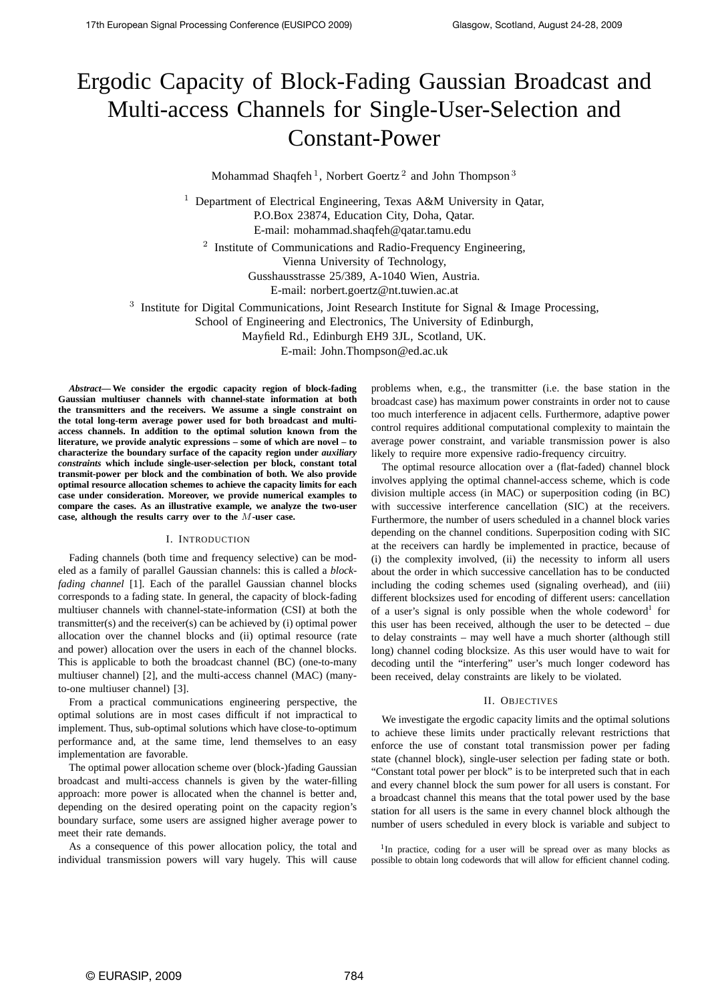# Ergodic Capacity of Block-Fading Gaussian Broadcast and Multi-access Channels for Single-User-Selection and Constant-Power

Mohammad Shaqfeh<sup>1</sup>, Norbert Goertz<sup>2</sup> and John Thompson<sup>3</sup>

<sup>1</sup> Department of Electrical Engineering, Texas A&M University in Qatar, P.O.Box 23874, Education City, Doha, Qatar. E-mail: mohammad.shaqfeh@qatar.tamu.edu

<sup>2</sup> Institute of Communications and Radio-Frequency Engineering,

Vienna University of Technology,

Gusshausstrasse 25/389, A-1040 Wien, Austria.

E-mail: norbert.goertz@nt.tuwien.ac.at

<sup>3</sup> Institute for Digital Communications, Joint Research Institute for Signal & Image Processing,

School of Engineering and Electronics, The University of Edinburgh,

Mayfield Rd., Edinburgh EH9 3JL, Scotland, UK.

E-mail: John.Thompson@ed.ac.uk

*Abstract***— We consider the ergodic capacity region of block-fading Gaussian multiuser channels with channel-state information at both the transmitters and the receivers. We assume a single constraint on the total long-term average power used for both broadcast and multiaccess channels. In addition to the optimal solution known from the literature, we provide analytic expressions – some of which are novel – to characterize the boundary surface of the capacity region under** *auxiliary constraints* **which include single-user-selection per block, constant total transmit-power per block and the combination of both. We also provide optimal resource allocation schemes to achieve the capacity limits for each case under consideration. Moreover, we provide numerical examples to compare the cases. As an illustrative example, we analyze the two-user case, although the results carry over to the** M**-user case.**

# I. INTRODUCTION

Fading channels (both time and frequency selective) can be modeled as a family of parallel Gaussian channels: this is called a *blockfading channel* [1]. Each of the parallel Gaussian channel blocks corresponds to a fading state. In general, the capacity of block-fading multiuser channels with channel-state-information (CSI) at both the transmitter(s) and the receiver(s) can be achieved by (i) optimal power allocation over the channel blocks and (ii) optimal resource (rate and power) allocation over the users in each of the channel blocks. This is applicable to both the broadcast channel (BC) (one-to-many multiuser channel) [2], and the multi-access channel (MAC) (manyto-one multiuser channel) [3].

From a practical communications engineering perspective, the optimal solutions are in most cases difficult if not impractical to implement. Thus, sub-optimal solutions which have close-to-optimum performance and, at the same time, lend themselves to an easy implementation are favorable.

The optimal power allocation scheme over (block-)fading Gaussian broadcast and multi-access channels is given by the water-filling approach: more power is allocated when the channel is better and, depending on the desired operating point on the capacity region's boundary surface, some users are assigned higher average power to meet their rate demands.

As a consequence of this power allocation policy, the total and individual transmission powers will vary hugely. This will cause problems when, e.g., the transmitter (i.e. the base station in the broadcast case) has maximum power constraints in order not to cause too much interference in adjacent cells. Furthermore, adaptive power control requires additional computational complexity to maintain the average power constraint, and variable transmission power is also likely to require more expensive radio-frequency circuitry.

The optimal resource allocation over a (flat-faded) channel block involves applying the optimal channel-access scheme, which is code division multiple access (in MAC) or superposition coding (in BC) with successive interference cancellation (SIC) at the receivers. Furthermore, the number of users scheduled in a channel block varies depending on the channel conditions. Superposition coding with SIC at the receivers can hardly be implemented in practice, because of (i) the complexity involved, (ii) the necessity to inform all users about the order in which successive cancellation has to be conducted including the coding schemes used (signaling overhead), and (iii) different blocksizes used for encoding of different users: cancellation of a user's signal is only possible when the whole codeword<sup>1</sup> for this user has been received, although the user to be detected – due to delay constraints – may well have a much shorter (although still long) channel coding blocksize. As this user would have to wait for decoding until the "interfering" user's much longer codeword has been received, delay constraints are likely to be violated.

## II. OBJECTIVES

We investigate the ergodic capacity limits and the optimal solutions to achieve these limits under practically relevant restrictions that enforce the use of constant total transmission power per fading state (channel block), single-user selection per fading state or both. "Constant total power per block" is to be interpreted such that in each and every channel block the sum power for all users is constant. For a broadcast channel this means that the total power used by the base station for all users is the same in every channel block although the number of users scheduled in every block is variable and subject to

<sup>1</sup>In practice, coding for a user will be spread over as many blocks as possible to obtain long codewords that will allow for efficient channel coding.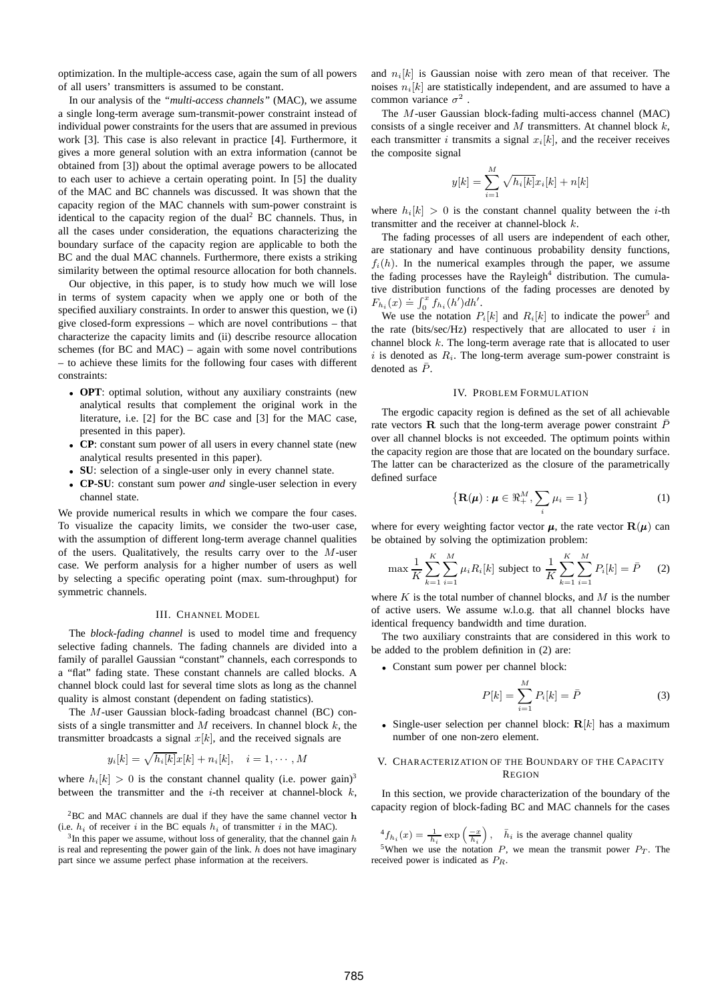optimization. In the multiple-access case, again the sum of all powers of all users' transmitters is assumed to be constant.

In our analysis of the *"multi-access channels"* (MAC), we assume a single long-term average sum-transmit-power constraint instead of individual power constraints for the users that are assumed in previous work [3]. This case is also relevant in practice [4]. Furthermore, it gives a more general solution with an extra information (cannot be obtained from [3]) about the optimal average powers to be allocated to each user to achieve a certain operating point. In [5] the duality of the MAC and BC channels was discussed. It was shown that the capacity region of the MAC channels with sum-power constraint is identical to the capacity region of the dual<sup>2</sup> BC channels. Thus, in all the cases under consideration, the equations characterizing the boundary surface of the capacity region are applicable to both the BC and the dual MAC channels. Furthermore, there exists a striking similarity between the optimal resource allocation for both channels.

Our objective, in this paper, is to study how much we will lose in terms of system capacity when we apply one or both of the specified auxiliary constraints. In order to answer this question, we (i) give closed-form expressions – which are novel contributions – that characterize the capacity limits and (ii) describe resource allocation schemes (for BC and MAC) – again with some novel contributions – to achieve these limits for the following four cases with different constraints:

- **OPT**: optimal solution, without any auxiliary constraints (new analytical results that complement the original work in the literature, i.e. [2] for the BC case and [3] for the MAC case, presented in this paper).
- **CP**: constant sum power of all users in every channel state (new analytical results presented in this paper).
- **SU**: selection of a single-user only in every channel state.
- **CP-SU**: constant sum power *and* single-user selection in every channel state.

We provide numerical results in which we compare the four cases. To visualize the capacity limits, we consider the two-user case, with the assumption of different long-term average channel qualities of the users. Qualitatively, the results carry over to the  $M$ -user case. We perform analysis for a higher number of users as well by selecting a specific operating point (max. sum-throughput) for symmetric channels.

### III. CHANNEL MODEL

The *block-fading channel* is used to model time and frequency selective fading channels. The fading channels are divided into a family of parallel Gaussian "constant" channels, each corresponds to a "flat" fading state. These constant channels are called blocks. A channel block could last for several time slots as long as the channel quality is almost constant (dependent on fading statistics).

The M-user Gaussian block-fading broadcast channel (BC) consists of a single transmitter and  $M$  receivers. In channel block  $k$ , the transmitter broadcasts a signal  $x[k]$ , and the received signals are

$$
y_i[k] = \sqrt{h_i[k]}x[k] + n_i[k], \quad i = 1, \cdots, M
$$

where  $h_i[k] > 0$  is the constant channel quality (i.e. power gain)<sup>3</sup> between the transmitter and the *i*-th receiver at channel-block  $k$ ,

<sup>2</sup>BC and MAC channels are dual if they have the same channel vector h (i.e.  $h_i$  of receiver i in the BC equals  $h_i$  of transmitter i in the MAC).

 $3$ In this paper we assume, without loss of generality, that the channel gain  $h$ is real and representing the power gain of the link.  $h$  does not have imaginary part since we assume perfect phase information at the receivers.

and  $n_i[k]$  is Gaussian noise with zero mean of that receiver. The noises  $n_i[k]$  are statistically independent, and are assumed to have a common variance  $\sigma^2$ .

The M-user Gaussian block-fading multi-access channel (MAC) consists of a single receiver and  $M$  transmitters. At channel block  $k$ , each transmitter *i* transmits a signal  $x_i[k]$ , and the receiver receives the composite signal

$$
y[k] = \sum_{i=1}^{M} \sqrt{h_i[k]} x_i[k] + n[k]
$$

where  $h_i[k] > 0$  is the constant channel quality between the *i*-th transmitter and the receiver at channel-block k.

The fading processes of all users are independent of each other, are stationary and have continuous probability density functions,  $f_i(h)$ . In the numerical examples through the paper, we assume the fading processes have the Rayleigh<sup>4</sup> distribution. The cumulative distribution functions of the fading processes are denoted by  $F_{h_i}(x) \doteq \int_0^x f_{h_i}(h') dh'.$ 

We use the notation  $P_i[k]$  and  $R_i[k]$  to indicate the power<sup>5</sup> and the rate (bits/sec/Hz) respectively that are allocated to user  $i$  in channel block k. The long-term average rate that is allocated to user i is denoted as  $R_i$ . The long-term average sum-power constraint is denoted as  $\bar{P}$ .

#### IV. PROBLEM FORMULATION

The ergodic capacity region is defined as the set of all achievable rate vectors **R** such that the long-term average power constraint  $\bar{P}$ over all channel blocks is not exceeded. The optimum points within the capacity region are those that are located on the boundary surface. The latter can be characterized as the closure of the parametrically defined surface

$$
\left\{ \mathbf{R}(\boldsymbol{\mu}) : \boldsymbol{\mu} \in \mathbb{R}^M_+, \sum_i \mu_i = 1 \right\} \tag{1}
$$

where for every weighting factor vector  $\mu$ , the rate vector  $R(\mu)$  can be obtained by solving the optimization problem:

$$
\max \frac{1}{K} \sum_{k=1}^{K} \sum_{i=1}^{M} \mu_i R_i[k] \text{ subject to } \frac{1}{K} \sum_{k=1}^{K} \sum_{i=1}^{M} P_i[k] = \bar{P} \tag{2}
$$

where  $K$  is the total number of channel blocks, and  $M$  is the number of active users. We assume w.l.o.g. that all channel blocks have identical frequency bandwidth and time duration.

The two auxiliary constraints that are considered in this work to be added to the problem definition in (2) are:

• Constant sum power per channel block:

$$
P[k] = \sum_{i=1}^{M} P_i[k] = \bar{P}
$$
 (3)

• Single-user selection per channel block:  $R[k]$  has a maximum number of one non-zero element.

# V. CHARACTERIZATION OF THE BOUNDARY OF THE CAPACITY REGION

In this section, we provide characterization of the boundary of the capacity region of block-fading BC and MAC channels for the cases

 ${}^4f_{h_i}(x) = \frac{1}{h_i} \exp\left(\frac{-x}{h_i}\right)$ ,  $\bar{h}_i$  is the average channel quality <sup>5</sup>When we use the notation P, we mean the transmit power  $P_T$ . The received power is indicated as  $P_R$ .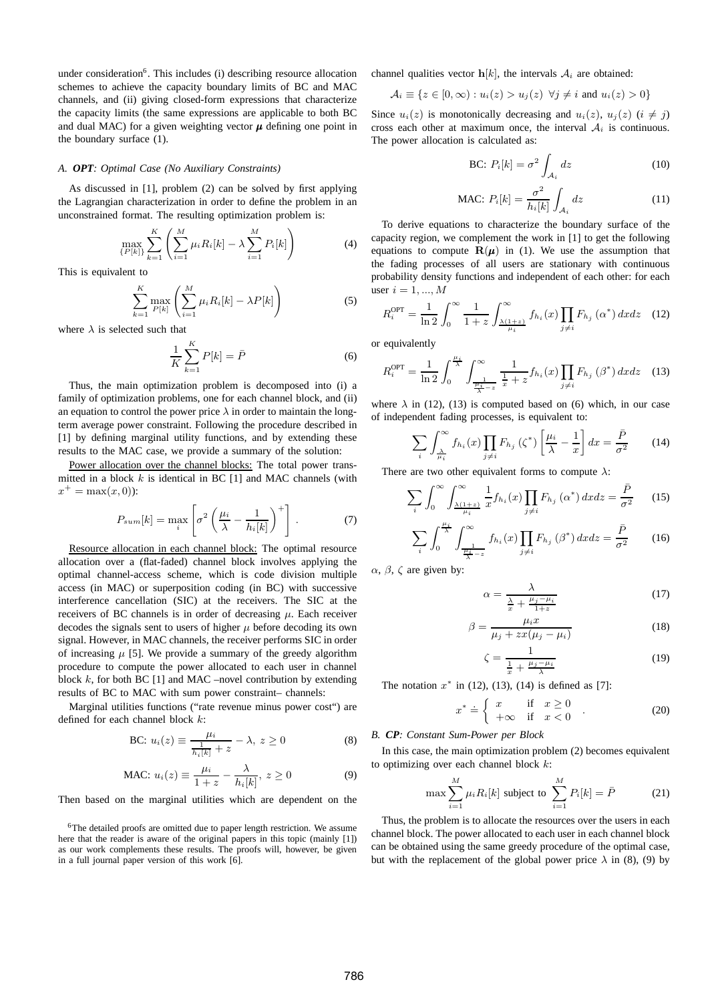under consideration<sup>6</sup>. This includes (i) describing resource allocation schemes to achieve the capacity boundary limits of BC and MAC channels, and (ii) giving closed-form expressions that characterize the capacity limits (the same expressions are applicable to both BC and dual MAC) for a given weighting vector  $\mu$  defining one point in the boundary surface (1).

## *A. OPT: Optimal Case (No Auxiliary Constraints)*

As discussed in [1], problem (2) can be solved by first applying the Lagrangian characterization in order to define the problem in an unconstrained format. The resulting optimization problem is:

$$
\max_{\{P[k]\}} \sum_{k=1}^{K} \left( \sum_{i=1}^{M} \mu_i R_i[k] - \lambda \sum_{i=1}^{M} P_i[k] \right) \tag{4}
$$

This is equivalent to

$$
\sum_{k=1}^{K} \max_{P[k]} \left( \sum_{i=1}^{M} \mu_i R_i[k] - \lambda P[k] \right) \tag{5}
$$

where  $\lambda$  is selected such that

$$
\frac{1}{K} \sum_{k=1}^{K} P[k] = \bar{P}
$$
\n(6)

Thus, the main optimization problem is decomposed into (i) a family of optimization problems, one for each channel block, and (ii) an equation to control the power price  $\lambda$  in order to maintain the longterm average power constraint. Following the procedure described in [1] by defining marginal utility functions, and by extending these results to the MAC case, we provide a summary of the solution:

Power allocation over the channel blocks: The total power transmitted in a block  $k$  is identical in BC [1] and MAC channels (with  $x^+ = \max(x, 0)$ :

$$
P_{sum}[k] = \max_{i} \left[ \sigma^2 \left( \frac{\mu_i}{\lambda} - \frac{1}{h_i[k]} \right)^+ \right] \,. \tag{7}
$$

Resource allocation in each channel block: The optimal resource allocation over a (flat-faded) channel block involves applying the optimal channel-access scheme, which is code division multiple access (in MAC) or superposition coding (in BC) with successive interference cancellation (SIC) at the receivers. The SIC at the receivers of BC channels is in order of decreasing  $\mu$ . Each receiver decodes the signals sent to users of higher  $\mu$  before decoding its own signal. However, in MAC channels, the receiver performs SIC in order of increasing  $\mu$  [5]. We provide a summary of the greedy algorithm procedure to compute the power allocated to each user in channel block  $k$ , for both BC [1] and MAC –novel contribution by extending results of BC to MAC with sum power constraint– channels:

Marginal utilities functions ("rate revenue minus power cost") are defined for each channel block k:

BC: 
$$
u_i(z) \equiv \frac{\mu_i}{\frac{1}{h_i[k]} + z} - \lambda, z \ge 0
$$
 (8)

$$
\text{MAC: } u_i(z) \equiv \frac{\mu_i}{1+z} - \frac{\lambda}{h_i[k]}, \ z \ge 0 \tag{9}
$$

Then based on the marginal utilities which are dependent on the

channel qualities vector  $h[k]$ , the intervals  $A_i$  are obtained:

$$
\mathcal{A}_i \equiv \{ z \in [0, \infty) : u_i(z) > u_j(z) \ \forall j \neq i \text{ and } u_i(z) > 0 \}
$$

Since  $u_i(z)$  is monotonically decreasing and  $u_i(z)$ ,  $u_i(z)$  ( $i \neq j$ ) cross each other at maximum once, the interval  $A_i$  is continuous. The power allocation is calculated as:

BC: 
$$
P_i[k] = \sigma^2 \int_{\mathcal{A}_i} dz
$$
 (10)

$$
\text{MAC: } P_i[k] = \frac{\sigma^2}{h_i[k]} \int_{\mathcal{A}_i} dz \tag{11}
$$

To derive equations to characterize the boundary surface of the capacity region, we complement the work in [1] to get the following equations to compute  $\mathbf{R}(\mu)$  in (1). We use the assumption that the fading processes of all users are stationary with continuous probability density functions and independent of each other: for each user  $i = 1, ..., M$ 

$$
R_i^{\text{OPT}} = \frac{1}{\ln 2} \int_0^\infty \frac{1}{1+z} \int_{\frac{\lambda(1+z)}{\mu_i}}^\infty f_{h_i}(x) \prod_{j \neq i} F_{h_j}(\alpha^*) dx dz \quad (12)
$$

or equivalently

$$
R_i^{\text{OPT}} = \frac{1}{\ln 2} \int_0^{\frac{\mu_i}{\lambda}} \int_{\frac{\mu_i}{\frac{\mu_i}{\lambda} - z}}^{\infty} \frac{1}{\frac{1}{x} + z} f_{h_i}(x) \prod_{j \neq i} F_{h_j}(\beta^*) dx dz \quad (13)
$$

where  $\lambda$  in (12), (13) is computed based on (6) which, in our case of independent fading processes, is equivalent to:

$$
\sum_{i} \int_{\frac{\lambda}{\mu_i}}^{\infty} f_{h_i}(x) \prod_{j \neq i} F_{h_j}(\zeta^*) \left[ \frac{\mu_i}{\lambda} - \frac{1}{x} \right] dx = \frac{\bar{P}}{\sigma^2}
$$
 (14)

There are two other equivalent forms to compute  $\lambda$ :

$$
\sum_{i} \int_{0}^{\infty} \int_{\frac{\lambda(1+z)}{\mu_i}}^{\infty} \frac{1}{x} f_{h_i}(x) \prod_{j \neq i} F_{h_j}(\alpha^*) dx dz = \frac{\bar{P}}{\sigma^2}
$$
 (15)

$$
\sum_{i} \int_{0}^{\frac{\mu_{i}}{\lambda}} \int_{\frac{\mu_{i}}{\lambda} - z}^{\infty} f_{h_{i}}(x) \prod_{j \neq i} F_{h_{j}}(\beta^{*}) dx dz = \frac{\bar{P}}{\sigma^{2}}
$$
 (16)

 $\alpha$ ,  $\beta$ ,  $\zeta$  are given by:

$$
\alpha = \frac{\lambda}{\frac{\lambda}{x} + \frac{\mu_j - \mu_i}{1 + z}}\tag{17}
$$

$$
\beta = \frac{\mu_i x}{\mu_j + zx(\mu_j - \mu_i)}\tag{18}
$$

$$
\zeta = \frac{1}{\frac{1}{x} + \frac{\mu_j - \mu_i}{\lambda}}\tag{19}
$$

The notation  $x^*$  in (12), (13), (14) is defined as [7]:

$$
x^* \doteq \left\{ \begin{array}{ll} x & \text{if } x \ge 0 \\ +\infty & \text{if } x < 0 \end{array} \right. \tag{20}
$$

# *B. CP: Constant Sum-Power per Block*

In this case, the main optimization problem (2) becomes equivalent to optimizing over each channel block  $k$ :

$$
\max \sum_{i=1}^{M} \mu_i R_i[k] \text{ subject to } \sum_{i=1}^{M} P_i[k] = \bar{P} \tag{21}
$$

Thus, the problem is to allocate the resources over the users in each channel block. The power allocated to each user in each channel block can be obtained using the same greedy procedure of the optimal case, but with the replacement of the global power price  $\lambda$  in (8), (9) by

<sup>&</sup>lt;sup>6</sup>The detailed proofs are omitted due to paper length restriction. We assume here that the reader is aware of the original papers in this topic (mainly [1]) as our work complements these results. The proofs will, however, be given in a full journal paper version of this work [6].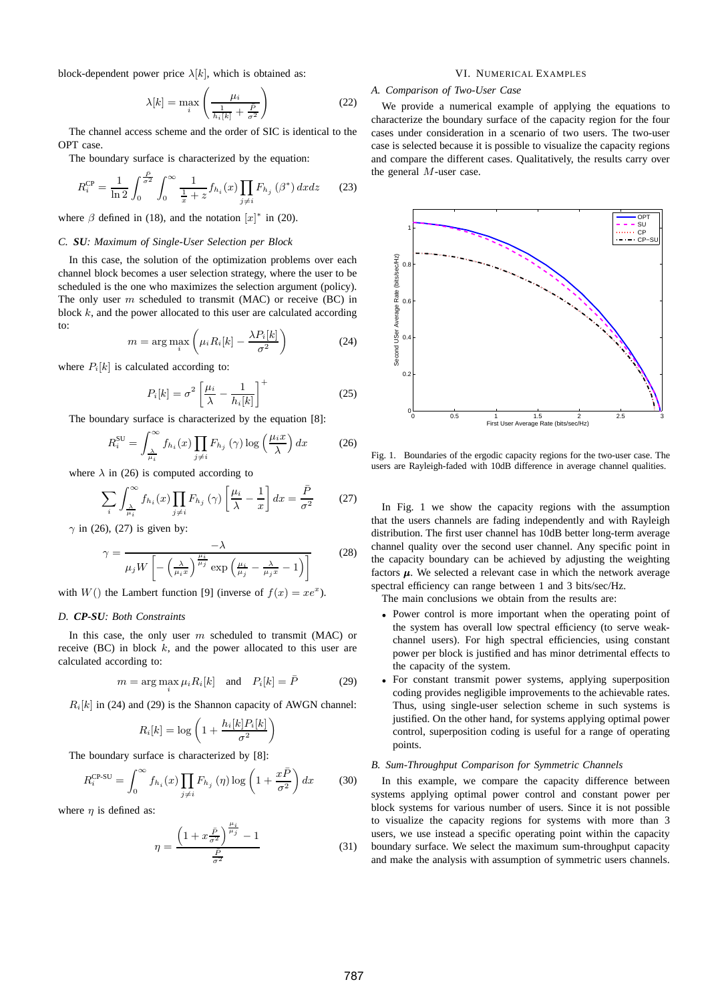block-dependent power price  $\lambda[k]$ , which is obtained as:

$$
\lambda[k] = \max_{i} \left( \frac{\mu_i}{\frac{1}{h_i[k]} + \frac{\bar{P}}{\sigma^2}} \right)
$$
 (22)

The channel access scheme and the order of SIC is identical to the OPT case.

The boundary surface is characterized by the equation:

$$
R_i^{\rm CP} = \frac{1}{\ln 2} \int_0^{\frac{\bar{P}}{\sigma^2}} \int_0^{\infty} \frac{1}{\frac{1}{x} + z} f_{h_i}(x) \prod_{j \neq i} F_{h_j}(\beta^*) dx dz \qquad (23)
$$

where  $\beta$  defined in (18), and the notation  $[x]^*$  in (20).

# *C. SU: Maximum of Single-User Selection per Block*

In this case, the solution of the optimization problems over each channel block becomes a user selection strategy, where the user to be scheduled is the one who maximizes the selection argument (policy). The only user  $m$  scheduled to transmit (MAC) or receive (BC) in block  $k$ , and the power allocated to this user are calculated according to:

$$
m = \arg\max_{i} \left( \mu_i R_i[k] - \frac{\lambda P_i[k]}{\sigma^2} \right) \tag{24}
$$

where  $P_i[k]$  is calculated according to:

$$
P_i[k] = \sigma^2 \left[ \frac{\mu_i}{\lambda} - \frac{1}{h_i[k]} \right]^+
$$
 (25)

The boundary surface is characterized by the equation [8]:

$$
R_i^{\text{SU}} = \int_{\frac{\lambda}{\mu_i}}^{\infty} f_{h_i}(x) \prod_{j \neq i} F_{h_j}(\gamma) \log \left(\frac{\mu_i x}{\lambda}\right) dx \tag{26}
$$

where  $\lambda$  in (26) is computed according to

$$
\sum_{i} \int_{\frac{\lambda}{\mu_i}}^{\infty} f_{h_i}(x) \prod_{j \neq i} F_{h_j}(\gamma) \left[ \frac{\mu_i}{\lambda} - \frac{1}{x} \right] dx = \frac{\bar{P}}{\sigma^2}
$$
 (27)

 $\gamma$  in (26), (27) is given by:

$$
\gamma = \frac{-\lambda}{\mu_j W \left[ -\left(\frac{\lambda}{\mu_i x}\right)^{\frac{\mu_i}{\mu_j}} \exp\left(\frac{\mu_i}{\mu_j} - \frac{\lambda}{\mu_j x} - 1\right) \right]}
$$
(28)

with  $W()$  the Lambert function [9] (inverse of  $f(x) = xe^x$ ).

## *D. CP-SU: Both Constraints*

In this case, the only user  $m$  scheduled to transmit (MAC) or receive (BC) in block  $k$ , and the power allocated to this user are calculated according to:

$$
m = \arg\max_{i} \mu_i R_i[k] \quad \text{and} \quad P_i[k] = \bar{P} \tag{29}
$$

 $R_i[k]$  in (24) and (29) is the Shannon capacity of AWGN channel:

$$
R_i[k] = \log\left(1 + \frac{h_i[k]P_i[k]}{\sigma^2}\right)
$$

The boundary surface is characterized by [8]:

$$
R_i^{\text{CP-SU}} = \int_0^\infty f_{h_i}(x) \prod_{j \neq i} F_{h_j}(\eta) \log \left( 1 + \frac{x \bar{P}}{\sigma^2} \right) dx \tag{30}
$$

where  $\eta$  is defined as:

$$
\eta = \frac{\left(1 + x\frac{\bar{P}}{\sigma^2}\right)^{\frac{\mu_i}{\mu_j}} - 1}{\frac{\bar{P}}{\sigma^2}}
$$
(31)

# VI. NUMERICAL EXAMPLES

## *A. Comparison of Two-User Case*

We provide a numerical example of applying the equations to characterize the boundary surface of the capacity region for the four cases under consideration in a scenario of two users. The two-user case is selected because it is possible to visualize the capacity regions and compare the different cases. Qualitatively, the results carry over the general M-user case.



Fig. 1. Boundaries of the ergodic capacity regions for the two-user case. The users are Rayleigh-faded with 10dB difference in average channel qualities.

In Fig. 1 we show the capacity regions with the assumption that the users channels are fading independently and with Rayleigh distribution. The first user channel has 10dB better long-term average channel quality over the second user channel. Any specific point in the capacity boundary can be achieved by adjusting the weighting factors  $\mu$ . We selected a relevant case in which the network average spectral efficiency can range between 1 and 3 bits/sec/Hz.

The main conclusions we obtain from the results are:

- Power control is more important when the operating point of the system has overall low spectral efficiency (to serve weakchannel users). For high spectral efficiencies, using constant power per block is justified and has minor detrimental effects to the capacity of the system.
- For constant transmit power systems, applying superposition coding provides negligible improvements to the achievable rates. Thus, using single-user selection scheme in such systems is justified. On the other hand, for systems applying optimal power control, superposition coding is useful for a range of operating points.

## *B. Sum-Throughput Comparison for Symmetric Channels*

In this example, we compare the capacity difference between systems applying optimal power control and constant power per block systems for various number of users. Since it is not possible to visualize the capacity regions for systems with more than 3 users, we use instead a specific operating point within the capacity boundary surface. We select the maximum sum-throughput capacity and make the analysis with assumption of symmetric users channels.